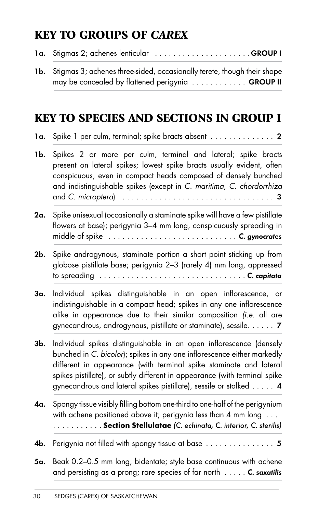## KEY TO GROUPS OF *CAREX*

|  | 1a. Stigmas 2; achenes lenticular GROUP I |
|--|-------------------------------------------|
|--|-------------------------------------------|

1b. Stigmas 3; achenes three-sided, occasionally terete, though their shape may be concealed by flattened perigynia ............. GROUP II

## KEY TO SPECIES AND SECTIONS IN GROUP I

- 1a. Spike 1 per culm, terminal; spike bracts absent .............. 2
- 1b. Spikes 2 or more per culm, terminal and lateral; spike bracts present on lateral spikes; lowest spike bracts usually evident, often conspicuous, even in compact heads composed of densely bunched and indistinguishable spikes (except in C. maritima, C. chordorrhiza and C. microptera) ................................. 3
- 2a. Spike unisexual (occasionally a staminate spike will have a few pistillate flowers at base); perigynia 3–4 mm long, conspicuously spreading in middle of spike ............................ C. gynocrates
- 2b. Spike androgynous, staminate portion a short point sticking up from globose pistillate base; perigynia 2–3 (rarely 4) mm long, appressed to spreading  $\ldots \ldots \ldots \ldots \ldots \ldots \ldots \ldots \ldots \ldots \ldots$ . C. capitata
- 3a. Individual spikes distinguishable in an open inflorescence, or indistinguishable in a compact head; spikes in any one inflorescence alike in appearance due to their similar composition (i.e. all are gynecandrous, androgynous, pistillate or staminate), sessile..... . 7
- 3b. Individual spikes distinguishable in an open inflorescence (densely bunched in C. bicolor); spikes in any one inflorescence either markedly different in appearance (with terminal spike staminate and lateral spikes pistillate), or subtly different in appearance (with terminal spike gynecandrous and lateral spikes pistillate), sessile or stalked ..... 4
- **4a.** Spongy tissue visibly filling bottom one-third to one-half of the perigynium with achene positioned above it; perigynia less than 4 mm long ... .......... . **Section Stellulatae** (C. echinata, C. interior, C. sterilis)
- **4b.** Perigynia not filled with spongy tissue at base  $\ldots$ ..................... 5
- 5a. Beak 0.2-0.5 mm long, bidentate; style base continuous with achene and persisting as a prong; rare species of far north  $\dots$ .... C. saxatilis